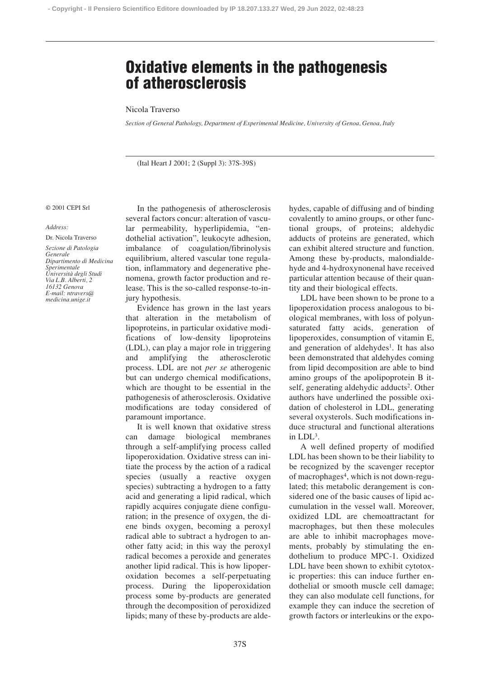# **Oxidative elements in the pathogenesis of atherosclerosis**

## Nicola Traverso

*Section of General Pathology, Department of Experimental Medicine, University of Genoa, Genoa, Italy*

(Ital Heart J 2001; 2 (Suppl 3): 37S-39S)

### © 2001 CEPI Srl

#### *Address:*

Dr. Nicola Traverso *Sezione di Patologia Generale Dipartimento di Medicina Sperimentale Università degli Studi Via L.B. Alberti, 2 16132 Genova E-mail: ntravers@*

*medicina.unige.it*

In the pathogenesis of atherosclerosis several factors concur: alteration of vascular permeability, hyperlipidemia, "endothelial activation", leukocyte adhesion, imbalance of coagulation/fibrinolysis equilibrium, altered vascular tone regulation, inflammatory and degenerative phenomena, growth factor production and release. This is the so-called response-to-injury hypothesis.

Evidence has grown in the last years that alteration in the metabolism of lipoproteins, in particular oxidative modifications of low-density lipoproteins (LDL), can play a major role in triggering and amplifying the atherosclerotic process. LDL are not *per se* atherogenic but can undergo chemical modifications, which are thought to be essential in the pathogenesis of atherosclerosis. Oxidative modifications are today considered of paramount importance.

It is well known that oxidative stress can damage biological membranes through a self-amplifying process called lipoperoxidation. Oxidative stress can initiate the process by the action of a radical species (usually a reactive oxygen species) subtracting a hydrogen to a fatty acid and generating a lipid radical, which rapidly acquires conjugate diene configuration; in the presence of oxygen, the diene binds oxygen, becoming a peroxyl radical able to subtract a hydrogen to another fatty acid; in this way the peroxyl radical becomes a peroxide and generates another lipid radical. This is how lipoperoxidation becomes a self-perpetuating process. During the lipoperoxidation process some by-products are generated through the decomposition of peroxidized lipids; many of these by-products are aldehydes, capable of diffusing and of binding covalently to amino groups, or other functional groups, of proteins; aldehydic adducts of proteins are generated, which can exhibit altered structure and function. Among these by-products, malondialdehyde and 4-hydroxynonenal have received particular attention because of their quantity and their biological effects.

LDL have been shown to be prone to a lipoperoxidation process analogous to biological membranes, with loss of polyunsaturated fatty acids, generation of lipoperoxides, consumption of vitamin E, and generation of aldehydes<sup>1</sup>. It has also been demonstrated that aldehydes coming from lipid decomposition are able to bind amino groups of the apolipoprotein B itself, generating aldehydic adducts<sup>2</sup>. Other authors have underlined the possible oxidation of cholesterol in LDL, generating several oxysterols. Such modifications induce structural and functional alterations in LDL3.

A well defined property of modified LDL has been shown to be their liability to be recognized by the scavenger receptor of macrophages4, which is not down-regulated; this metabolic derangement is considered one of the basic causes of lipid accumulation in the vessel wall. Moreover, oxidized LDL are chemoattractant for macrophages, but then these molecules are able to inhibit macrophages movements, probably by stimulating the endothelium to produce MPC-1. Oxidized LDL have been shown to exhibit cytotoxic properties: this can induce further endothelial or smooth muscle cell damage; they can also modulate cell functions, for example they can induce the secretion of growth factors or interleukins or the expo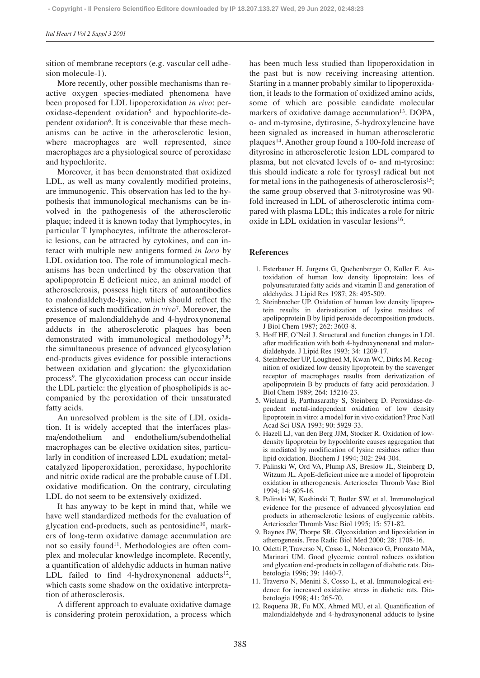sition of membrane receptors (e.g. vascular cell adhesion molecule-1).

More recently, other possible mechanisms than reactive oxygen species-mediated phenomena have been proposed for LDL lipoperoxidation *in vivo*: peroxidase-dependent oxidation5 and hypochlorite-dependent oxidation<sup>6</sup>. It is conceivable that these mechanisms can be active in the atherosclerotic lesion, where macrophages are well represented, since macrophages are a physiological source of peroxidase and hypochlorite.

Moreover, it has been demonstrated that oxidized LDL, as well as many covalently modified proteins, are immunogenic. This observation has led to the hypothesis that immunological mechanisms can be involved in the pathogenesis of the atherosclerotic plaque; indeed it is known today that lymphocytes, in particular T lymphocytes, infiltrate the atherosclerotic lesions, can be attracted by cytokines, and can interact with multiple new antigens formed *in loco* by LDL oxidation too. The role of immunological mechanisms has been underlined by the observation that apolipoprotein E deficient mice, an animal model of atherosclerosis, possess high titers of autoantibodies to malondialdehyde-lysine, which should reflect the existence of such modification *in vivo*7. Moreover, the presence of malondialdehyde and 4-hydroxynonenal adducts in the atherosclerotic plaques has been demonstrated with immunological methodology $^{7,8}$ ; the simultaneous presence of advanced glycosylation end-products gives evidence for possible interactions between oxidation and glycation: the glycoxidation process9. The glycoxidation process can occur inside the LDL particle: the glycation of phospholipids is accompanied by the peroxidation of their unsaturated fatty acids.

An unresolved problem is the site of LDL oxidation. It is widely accepted that the interfaces plasma/endothelium and endothelium/subendothelial macrophages can be elective oxidation sites, particularly in condition of increased LDL exudation; metalcatalyzed lipoperoxidation, peroxidase, hypochlorite and nitric oxide radical are the probable cause of LDL oxidative modification. On the contrary, circulating LDL do not seem to be extensively oxidized.

It has anyway to be kept in mind that, while we have well standardized methods for the evaluation of glycation end-products, such as pentosidine<sup>10</sup>, markers of long-term oxidative damage accumulation are not so easily found<sup>11</sup>. Methodologies are often complex and molecular knowledge incomplete. Recently, a quantification of aldehydic adducts in human native LDL failed to find 4-hydroxynonenal adducts<sup>12</sup>, which casts some shadow on the oxidative interpretation of atherosclerosis.

A different approach to evaluate oxidative damage is considering protein peroxidation, a process which

has been much less studied than lipoperoxidation in the past but is now receiving increasing attention. Starting in a manner probably similar to lipoperoxidation, it leads to the formation of oxidized amino acids, some of which are possible candidate molecular markers of oxidative damage accumulation<sup>13</sup>. DOPA, o- and m-tyrosine, dytirosine, 5-hydroxyleucine have been signaled as increased in human atherosclerotic plaques14. Another group found a 100-fold increase of dityrosine in atherosclerotic lesion LDL compared to plasma, but not elevated levels of o- and m-tyrosine: this should indicate a role for tyrosyl radical but not for metal ions in the pathogenesis of atherosclerosis<sup>15</sup>; the same group observed that 3-nitrotyrosine was 90 fold increased in LDL of atherosclerotic intima compared with plasma LDL; this indicates a role for nitric oxide in LDL oxidation in vascular lesions<sup>16</sup>.

## **References**

- 1. Esterbauer H, Jurgens G, Quehenberger O, Koller E. Autoxidation of human low density lipoprotein: loss of polyunsaturated fatty acids and vitamin E and generation of aldehydes. J Lipid Res 1987; 28: 495-509.
- 2. Steinbrecher UP. Oxidation of human low density lipoprotein results in derivatization of lysine residues of apolipoprotein B by lipid peroxide decomposition products. J Biol Chem 1987; 262: 3603-8.
- 3. Hoff HF, O'Neil J. Structural and function changes in LDL after modification with both 4-hydroxynonenal and malondialdehyde. J Lipid Res 1993; 34: 1209-17.
- 4. Steinbrecher UP, Lougheed M, Kwan WC, Dirks M. Recognition of oxidized low density lipoprotein by the scavenger receptor of macrophages results from derivatization of apolipoprotein B by products of fatty acid peroxidation. J Biol Chem 1989; 264: 15216-23.
- 5. Wieland E, Parthasarathy S, Steinberg D. Peroxidase-dependent metal-independent oxidation of low density lipoprotein in vitro: a model for in vivo oxidation? Proc Natl Acad Sci USA 1993; 90: 5929-33.
- 6. Hazell LJ, van den Berg JJM, Stocker R. Oxidation of lowdensity lipoprotein by hypochlorite causes aggregation that is mediated by modification of lysine residues rather than lipid oxidation. Biochem J 1994; 302: 294-304.
- 7. Palinski W, Ord VA, Plump AS, Breslow JL, Steinberg D, Witzum JL. ApoE-deficient mice are a model of lipoprotein oxidation in atherogenesis. Arterioscler Thromb Vasc Biol 1994; 14: 605-16.
- 8. Palinski W, Koshinski T, Butler SW, et al. Immunological evidence for the presence of advanced glycosylation end products in atherosclerotic lesions of euglycemic rabbits. Arterioscler Thromb Vasc Biol 1995; 15: 571-82.
- 9. Baynes JW, Thorpe SR. Glycoxidation and lipoxidation in atherogenesis. Free Radic Biol Med 2000; 28: 1708-16.
- 10. Odetti P, Traverso N, Cosso L, Noberasco G, Pronzato MA, Marinari UM. Good glycemic control reduces oxidation and glycation end-products in collagen of diabetic rats. Diabetologia 1996; 39: 1440-7.
- 11. Traverso N, Menini S, Cosso L, et al. Immunological evidence for increased oxidative stress in diabetic rats. Diabetologia 1998; 41: 265-70.
- 12. Requena JR, Fu MX, Ahmed MU, et al. Quantification of malondialdehyde and 4-hydroxynonenal adducts to lysine